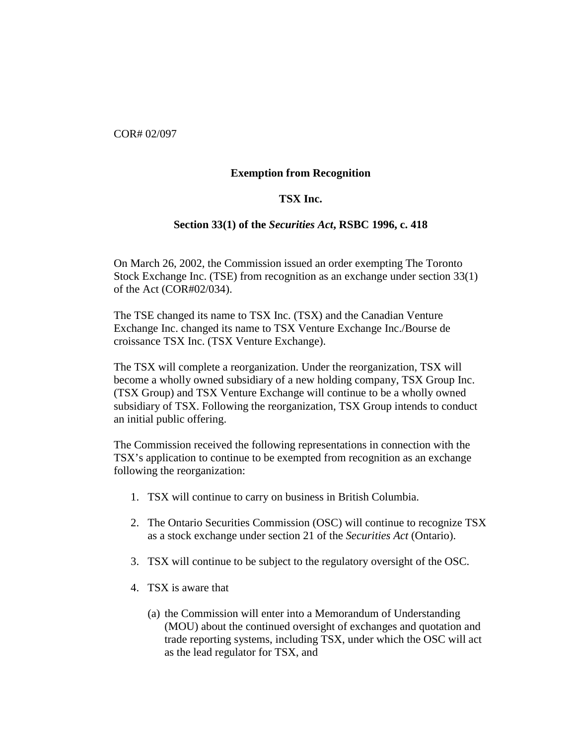COR# 02/097

## **Exemption from Recognition**

## **TSX Inc.**

## **Section 33(1) of the** *Securities Act***, RSBC 1996, c. 418**

On March 26, 2002, the Commission issued an order exempting The Toronto Stock Exchange Inc. (TSE) from recognition as an exchange under section 33(1) of the Act (COR#02/034).

The TSE changed its name to TSX Inc. (TSX) and the Canadian Venture Exchange Inc. changed its name to TSX Venture Exchange Inc./Bourse de croissance TSX Inc. (TSX Venture Exchange).

The TSX will complete a reorganization. Under the reorganization, TSX will become a wholly owned subsidiary of a new holding company, TSX Group Inc. (TSX Group) and TSX Venture Exchange will continue to be a wholly owned subsidiary of TSX. Following the reorganization, TSX Group intends to conduct an initial public offering.

The Commission received the following representations in connection with the TSX's application to continue to be exempted from recognition as an exchange following the reorganization:

- 1. TSX will continue to carry on business in British Columbia.
- 2. The Ontario Securities Commission (OSC) will continue to recognize TSX as a stock exchange under section 21 of the *Securities Act* (Ontario).
- 3. TSX will continue to be subject to the regulatory oversight of the OSC.
- 4. TSX is aware that
	- (a) the Commission will enter into a Memorandum of Understanding (MOU) about the continued oversight of exchanges and quotation and trade reporting systems, including TSX, under which the OSC will act as the lead regulator for TSX, and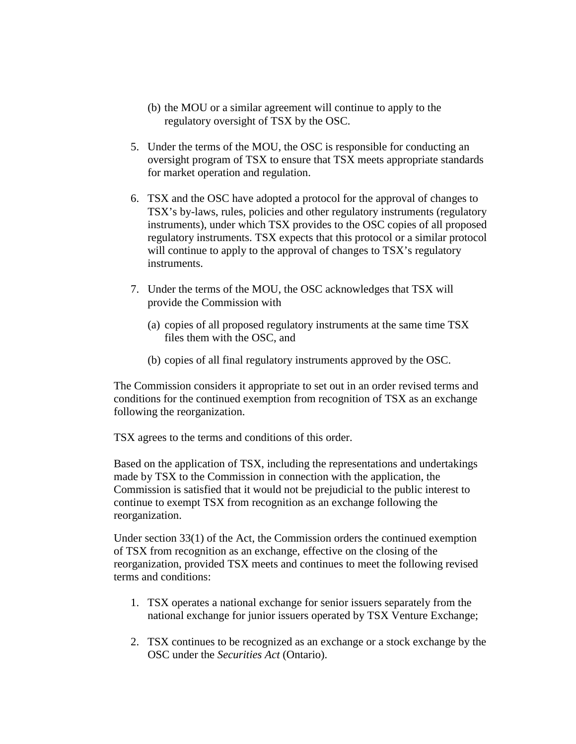- (b) the MOU or a similar agreement will continue to apply to the regulatory oversight of TSX by the OSC.
- 5. Under the terms of the MOU, the OSC is responsible for conducting an oversight program of TSX to ensure that TSX meets appropriate standards for market operation and regulation.
- 6. TSX and the OSC have adopted a protocol for the approval of changes to TSX's by-laws, rules, policies and other regulatory instruments (regulatory instruments), under which TSX provides to the OSC copies of all proposed regulatory instruments. TSX expects that this protocol or a similar protocol will continue to apply to the approval of changes to TSX's regulatory instruments.
- 7. Under the terms of the MOU, the OSC acknowledges that TSX will provide the Commission with
	- (a) copies of all proposed regulatory instruments at the same time TSX files them with the OSC, and
	- (b) copies of all final regulatory instruments approved by the OSC.

The Commission considers it appropriate to set out in an order revised terms and conditions for the continued exemption from recognition of TSX as an exchange following the reorganization.

TSX agrees to the terms and conditions of this order.

Based on the application of TSX, including the representations and undertakings made by TSX to the Commission in connection with the application, the Commission is satisfied that it would not be prejudicial to the public interest to continue to exempt TSX from recognition as an exchange following the reorganization.

Under section  $33(1)$  of the Act, the Commission orders the continued exemption of TSX from recognition as an exchange, effective on the closing of the reorganization, provided TSX meets and continues to meet the following revised terms and conditions:

- 1. TSX operates a national exchange for senior issuers separately from the national exchange for junior issuers operated by TSX Venture Exchange;
- 2. TSX continues to be recognized as an exchange or a stock exchange by the OSC under the *Securities Act* (Ontario).